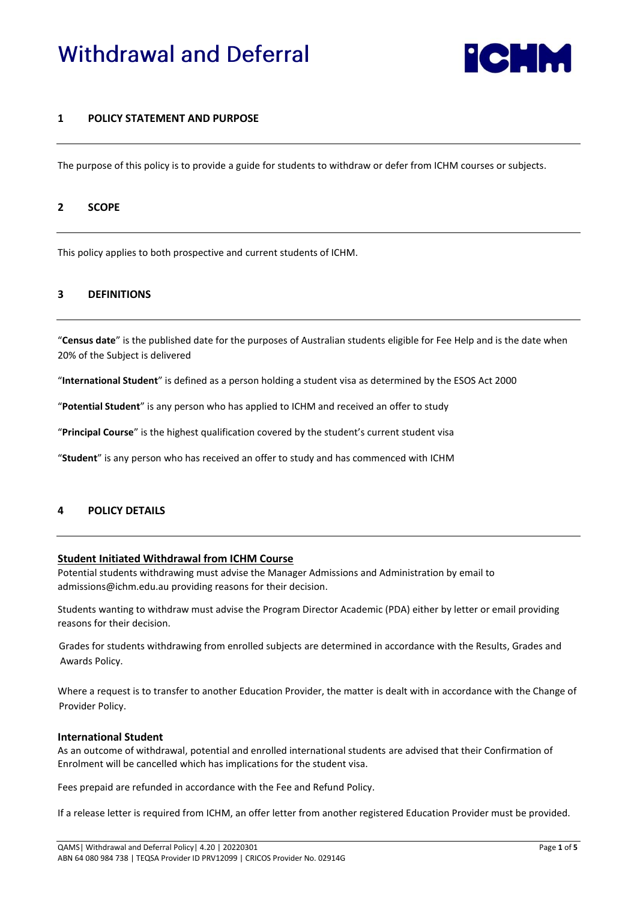# **Withdrawal and Deferral**



# **1 POLICY STATEMENT AND PURPOSE**

The purpose of this policy is to provide a guide for students to withdraw or defer from ICHM courses or subjects.

## **2 SCOPE**

This policy applies to both prospective and current students of ICHM.

#### **3 DEFINITIONS**

"**Census date**" is the published date for the purposes of Australian students eligible for Fee Help and is the date when 20% of the Subject is delivered

"**International Student**" is defined as a person holding a student visa as determined by the ESOS Act 2000

"**Potential Student**" is any person who has applied to ICHM and received an offer to study

"**Principal Course**" is the highest qualification covered by the student's current student visa

"**Student**" is any person who has received an offer to study and has commenced with ICHM

## **4 POLICY DETAILS**

#### **Student Initiated Withdrawal from ICHM Course**

Potential students withdrawing must advise the Manager Admissions and Administration by email to admissions@ichm.edu.au providing reasons for their decision.

Students wanting to withdraw must advise the Program Director Academic (PDA) either by letter or email providing reasons for their decision.

Grades for students withdrawing from enrolled subjects are determined in accordance with the Results, Grades and Awards Policy.

Where a request is to transfer to another Education Provider, the matter is dealt with in accordance with the Change of Provider Policy.

#### **International Student**

As an outcome of withdrawal, potential and enrolled international students are advised that their Confirmation of Enrolment will be cancelled which has implications for the student visa.

Fees prepaid are refunded in accordance with the Fee and Refund Policy.

If a release letter is required from ICHM, an offer letter from another registered Education Provider must be provided.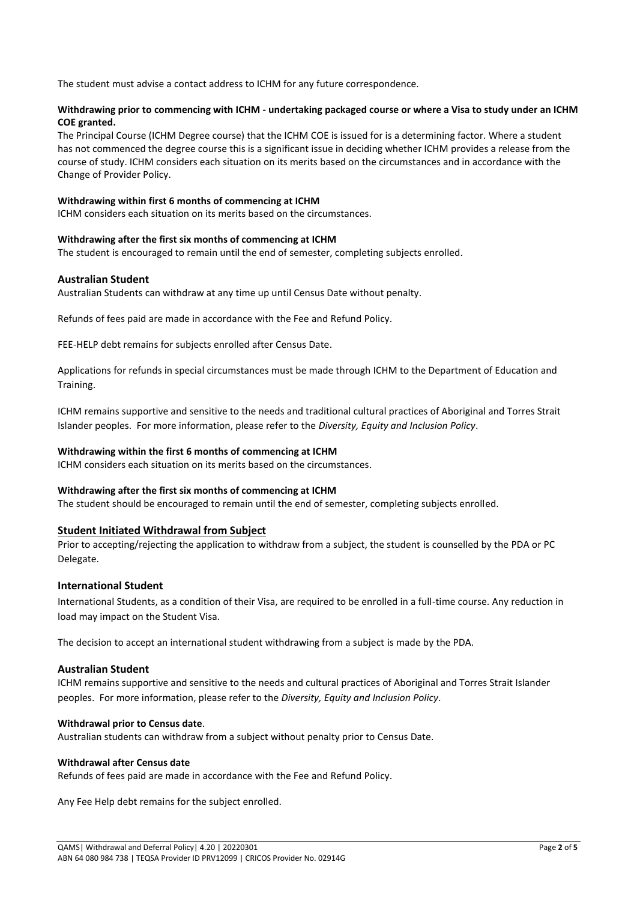The student must advise a contact address to ICHM for any future correspondence.

## **Withdrawing prior to commencing with ICHM - undertaking packaged course or where a Visa to study under an ICHM COE granted.**

The Principal Course (ICHM Degree course) that the ICHM COE is issued for is a determining factor. Where a student has not commenced the degree course this is a significant issue in deciding whether ICHM provides a release from the course of study. ICHM considers each situation on its merits based on the circumstances and in accordance with the Change of Provider Policy.

#### **Withdrawing within first 6 months of commencing at ICHM**

ICHM considers each situation on its merits based on the circumstances.

#### **Withdrawing after the first six months of commencing at ICHM**

The student is encouraged to remain until the end of semester, completing subjects enrolled.

## **Australian Student**

Australian Students can withdraw at any time up until Census Date without penalty.

Refunds of fees paid are made in accordance with the Fee and Refund Policy.

FEE-HELP debt remains for subjects enrolled after Census Date.

Applications for refunds in special circumstances must be made through ICHM to the Department of Education and Training.

ICHM remains supportive and sensitive to the needs and traditional cultural practices of Aboriginal and Torres Strait Islander peoples. For more information, please refer to the *Diversity, Equity and Inclusion Policy*.

## **Withdrawing within the first 6 months of commencing at ICHM**

ICHM considers each situation on its merits based on the circumstances.

## **Withdrawing after the first six months of commencing at ICHM**

The student should be encouraged to remain until the end of semester, completing subjects enrolled.

## **Student Initiated Withdrawal from Subject**

Prior to accepting/rejecting the application to withdraw from a subject, the student is counselled by the PDA or PC Delegate.

## **International Student**

International Students, as a condition of their Visa, are required to be enrolled in a full-time course. Any reduction in load may impact on the Student Visa.

The decision to accept an international student withdrawing from a subject is made by the PDA.

## **Australian Student**

ICHM remains supportive and sensitive to the needs and cultural practices of Aboriginal and Torres Strait Islander peoples. For more information, please refer to the *Diversity, Equity and Inclusion Policy*.

#### **Withdrawal prior to Census date**.

Australian students can withdraw from a subject without penalty prior to Census Date.

#### **Withdrawal after Census date**

Refunds of fees paid are made in accordance with the Fee and Refund Policy.

Any Fee Help debt remains for the subject enrolled.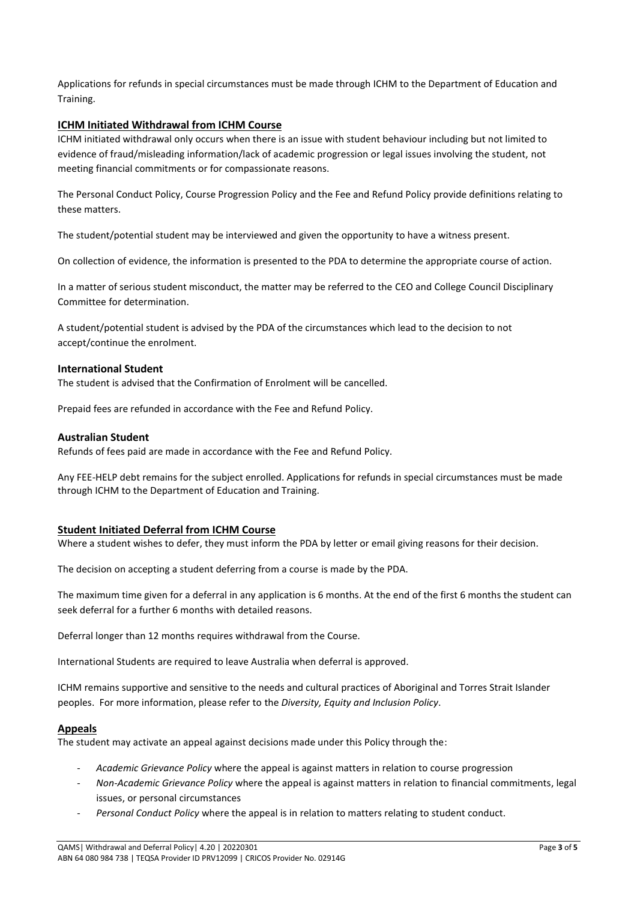Applications for refunds in special circumstances must be made through ICHM to the Department of Education and Training.

# **ICHM Initiated Withdrawal from ICHM Course**

ICHM initiated withdrawal only occurs when there is an issue with student behaviour including but not limited to evidence of fraud/misleading information/lack of academic progression or legal issues involving the student, not meeting financial commitments or for compassionate reasons.

The Personal Conduct Policy, Course Progression Policy and the Fee and Refund Policy provide definitions relating to these matters.

The student/potential student may be interviewed and given the opportunity to have a witness present.

On collection of evidence, the information is presented to the PDA to determine the appropriate course of action.

In a matter of serious student misconduct, the matter may be referred to the CEO and College Council Disciplinary Committee for determination.

A student/potential student is advised by the PDA of the circumstances which lead to the decision to not accept/continue the enrolment.

## **International Student**

The student is advised that the Confirmation of Enrolment will be cancelled.

Prepaid fees are refunded in accordance with the Fee and Refund Policy.

#### **Australian Student**

Refunds of fees paid are made in accordance with the Fee and Refund Policy.

Any FEE-HELP debt remains for the subject enrolled. Applications for refunds in special circumstances must be made through ICHM to the Department of Education and Training.

## **Student Initiated Deferral from ICHM Course**

Where a student wishes to defer, they must inform the PDA by letter or email giving reasons for their decision.

The decision on accepting a student deferring from a course is made by the PDA.

The maximum time given for a deferral in any application is 6 months. At the end of the first 6 months the student can seek deferral for a further 6 months with detailed reasons.

Deferral longer than 12 months requires withdrawal from the Course.

International Students are required to leave Australia when deferral is approved.

ICHM remains supportive and sensitive to the needs and cultural practices of Aboriginal and Torres Strait Islander peoples. For more information, please refer to the *Diversity, Equity and Inclusion Policy*.

## **Appeals**

The student may activate an appeal against decisions made under this Policy through the:

- *Academic Grievance Policy* where the appeal is against matters in relation to course progression
- *Non-Academic Grievance Policy* where the appeal is against matters in relation to financial commitments, legal issues, or personal circumstances
- *Personal Conduct Policy* where the appeal is in relation to matters relating to student conduct.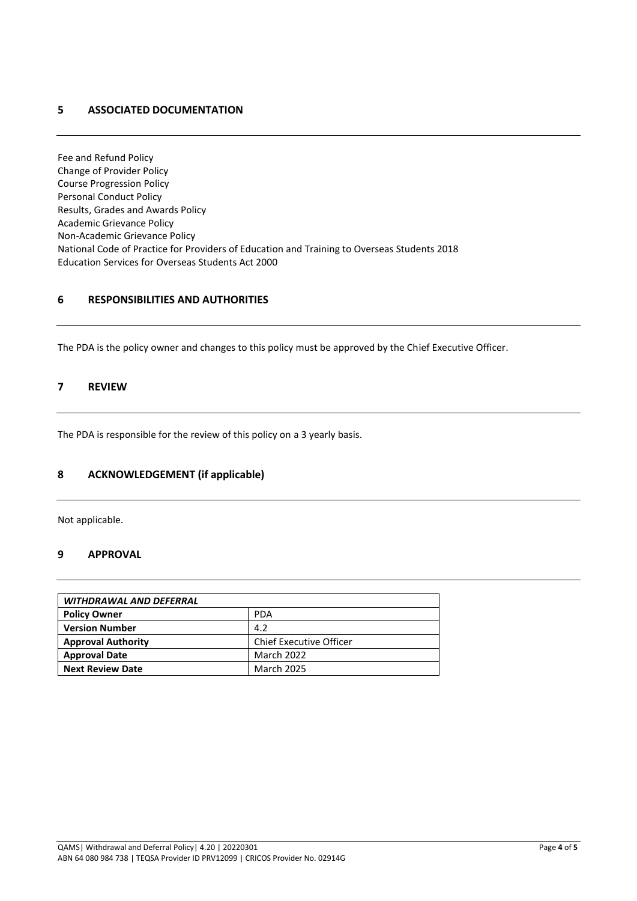# **5 ASSOCIATED DOCUMENTATION**

Fee and Refund Policy Change of Provider Policy Course Progression Policy Personal Conduct Policy Results, Grades and Awards Policy Academic Grievance Policy Non-Academic Grievance Policy National Code of Practice for Providers of Education and Training to Overseas Students 2018 Education Services for Overseas Students Act 2000

# **6 RESPONSIBILITIES AND AUTHORITIES**

The PDA is the policy owner and changes to this policy must be approved by the Chief Executive Officer.

# **7 REVIEW**

The PDA is responsible for the review of this policy on a 3 yearly basis.

# **8 ACKNOWLEDGEMENT (if applicable)**

Not applicable.

# **9 APPROVAL**

| WITHDRAWAL AND DEFERRAL   |                         |  |
|---------------------------|-------------------------|--|
| <b>Policy Owner</b>       | <b>PDA</b>              |  |
| <b>Version Number</b>     | 4.2                     |  |
| <b>Approval Authority</b> | Chief Executive Officer |  |
| <b>Approval Date</b>      | March 2022              |  |
| <b>Next Review Date</b>   | <b>March 2025</b>       |  |